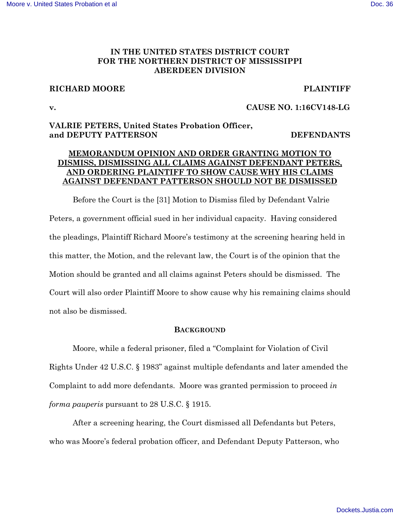# **IN THE UNITED STATES DISTRICT COURT FOR THE NORTHERN DISTRICT OF MISSISSIPPI ABERDEEN DIVISION**

## **RICHARD MOORE PLAINTIFF**

# **v. CAUSE NO. 1:16CV148-LG**

# **VALRIE PETERS, United States Probation Officer, and DEPUTY PATTERSON DEFENDANTS**

# **MEMORANDUM OPINION AND ORDER GRANTING MOTION TO DISMISS, DISMISSING ALL CLAIMS AGAINST DEFENDANT PETERS, AND ORDERING PLAINTIFF TO SHOW CAUSE WHY HIS CLAIMS AGAINST DEFENDANT PATTERSON SHOULD NOT BE DISMISSED**

Before the Court is the [31] Motion to Dismiss filed by Defendant Valrie Peters, a government official sued in her individual capacity. Having considered the pleadings, Plaintiff Richard Moore's testimony at the screening hearing held in this matter, the Motion, and the relevant law, the Court is of the opinion that the Motion should be granted and all claims against Peters should be dismissed. The Court will also order Plaintiff Moore to show cause why his remaining claims should not also be dismissed.

## **BACKGROUND**

Moore, while a federal prisoner, filed a "Complaint for Violation of Civil Rights Under 42 U.S.C. § 1983" against multiple defendants and later amended the Complaint to add more defendants. Moore was granted permission to proceed *in forma pauperis* pursuant to 28 U.S.C. § 1915.

After a screening hearing, the Court dismissed all Defendants but Peters, who was Moore's federal probation officer, and Defendant Deputy Patterson, who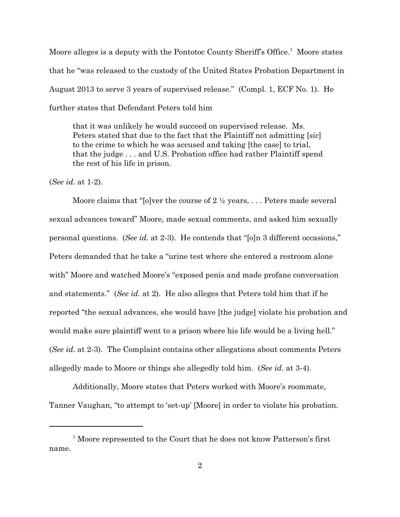Moore alleges is a deputy with the Pontotoc County Sheriff's Office.<sup>1</sup> Moore states that he "was released to the custody of the United States Probation Department in August 2013 to serve 3 years of supervised release." (Compl. 1, ECF No. 1). He further states that Defendant Peters told him

that it was unlikely he would succeed on supervised release. Ms. Peters stated that due to the fact that the Plaintiff not admitting [*sic*] to the crime to which he was accused and taking [the case] to trial, that the judge . . . and U.S. Probation office had rather Plaintiff spend the rest of his life in prison.

(*See id.* at 1-2).

Moore claims that "[o]ver the course of  $2 \frac{1}{2}$  years, ... Peters made several sexual advances toward" Moore, made sexual comments, and asked him sexually personal questions. (*See id.* at 2-3). He contends that "[o]n 3 different occasions," Peters demanded that he take a "urine test where she entered a restroom alone with" Moore and watched Moore's "exposed penis and made profane conversation and statements." (*See id.* at 2). He also alleges that Peters told him that if he reported "the sexual advances, she would have [the judge] violate his probation and would make sure plaintiff went to a prison where his life would be a living hell." (*See id.* at 2-3). The Complaint contains other allegations about comments Peters allegedly made to Moore or things she allegedly told him. (*See id.* at 3-4).

Additionally, Moore states that Peters worked with Moore's roommate, Tanner Vaughan, "to attempt to 'set-up' [Moore] in order to violate his probation.

<sup>&</sup>lt;sup>1</sup> Moore represented to the Court that he does not know Patterson's first name.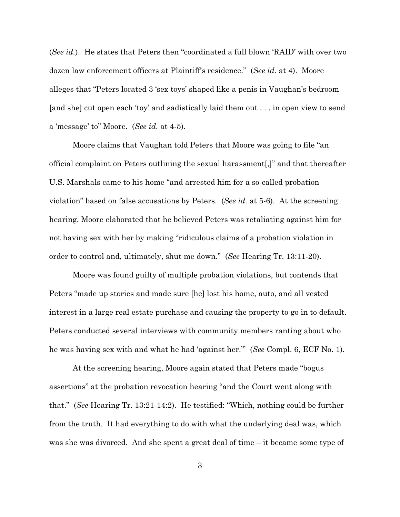(*See id.*). He states that Peters then "coordinated a full blown 'RAID' with over two dozen law enforcement officers at Plaintiff's residence." (*See id.* at 4). Moore alleges that "Peters located 3 'sex toys' shaped like a penis in Vaughan's bedroom [and she] cut open each 'toy' and sadistically laid them out . . . in open view to send a 'message' to" Moore. (*See id.* at 4-5).

Moore claims that Vaughan told Peters that Moore was going to file "an official complaint on Peters outlining the sexual harassment[,]" and that thereafter U.S. Marshals came to his home "and arrested him for a so-called probation violation" based on false accusations by Peters. (*See id.* at 5-6). At the screening hearing, Moore elaborated that he believed Peters was retaliating against him for not having sex with her by making "ridiculous claims of a probation violation in order to control and, ultimately, shut me down." (*See* Hearing Tr. 13:11-20).

Moore was found guilty of multiple probation violations, but contends that Peters "made up stories and made sure [he] lost his home, auto, and all vested interest in a large real estate purchase and causing the property to go in to default. Peters conducted several interviews with community members ranting about who he was having sex with and what he had 'against her.'" (*See* Compl. 6, ECF No. 1).

At the screening hearing, Moore again stated that Peters made "bogus assertions" at the probation revocation hearing "and the Court went along with that." (*See* Hearing Tr. 13:21-14:2). He testified: "Which, nothing could be further from the truth. It had everything to do with what the underlying deal was, which was she was divorced. And she spent a great deal of time – it became some type of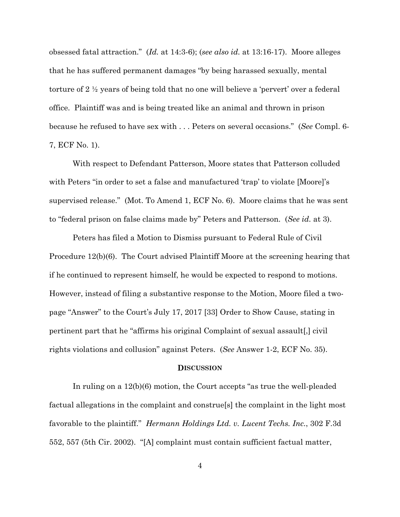obsessed fatal attraction." (*Id.* at 14:3-6); (*see also id.* at 13:16-17). Moore alleges that he has suffered permanent damages "by being harassed sexually, mental torture of 2 ½ years of being told that no one will believe a 'pervert' over a federal office. Plaintiff was and is being treated like an animal and thrown in prison because he refused to have sex with . . . Peters on several occasions." (*See* Compl. 6- 7, ECF No. 1).

With respect to Defendant Patterson, Moore states that Patterson colluded with Peters "in order to set a false and manufactured 'trap' to violate [Moore]'s supervised release." (Mot. To Amend 1, ECF No. 6). Moore claims that he was sent to "federal prison on false claims made by" Peters and Patterson. (*See id.* at 3).

Peters has filed a Motion to Dismiss pursuant to Federal Rule of Civil Procedure 12(b)(6). The Court advised Plaintiff Moore at the screening hearing that if he continued to represent himself, he would be expected to respond to motions. However, instead of filing a substantive response to the Motion, Moore filed a twopage "Answer" to the Court's July 17, 2017 [33] Order to Show Cause, stating in pertinent part that he "affirms his original Complaint of sexual assault[,] civil rights violations and collusion" against Peters. (*See* Answer 1-2, ECF No. 35).

#### **DISCUSSION**

In ruling on a 12(b)(6) motion, the Court accepts "as true the well-pleaded factual allegations in the complaint and construe[s] the complaint in the light most favorable to the plaintiff." *Hermann Holdings Ltd. v. Lucent Techs. Inc.*, 302 F.3d 552, 557 (5th Cir. 2002). "[A] complaint must contain sufficient factual matter,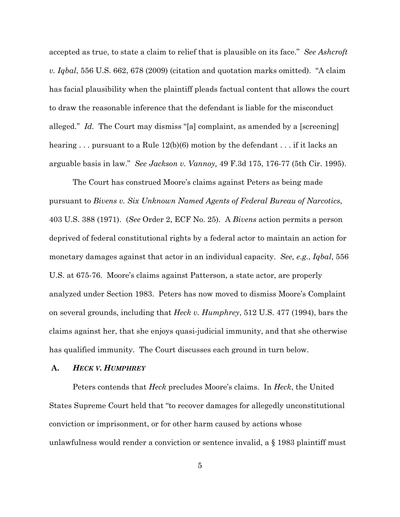accepted as true, to state a claim to relief that is plausible on its face." *See Ashcroft v. Iqbal*, 556 U.S. 662, 678 (2009) (citation and quotation marks omitted). "A claim has facial plausibility when the plaintiff pleads factual content that allows the court to draw the reasonable inference that the defendant is liable for the misconduct alleged." *Id.* The Court may dismiss "[a] complaint, as amended by a [screening] hearing ... pursuant to a Rule 12(b)(6) motion by the defendant ... if it lacks an arguable basis in law." *See Jackson v. Vannoy,* 49 F.3d 175, 176-77 (5th Cir. 1995).

The Court has construed Moore's claims against Peters as being made pursuant to *Bivens v. Six Unknown Named Agents of Federal Bureau of Narcotics*, 403 U.S. 388 (1971). (*See* Order 2, ECF No. 25). A *Bivens* action permits a person deprived of federal constitutional rights by a federal actor to maintain an action for monetary damages against that actor in an individual capacity. *See, e.g.*, *Iqbal*, 556 U.S. at 675-76. Moore's claims against Patterson, a state actor, are properly analyzed under Section 1983. Peters has now moved to dismiss Moore's Complaint on several grounds, including that *Heck v. Humphrey*, 512 U.S. 477 (1994), bars the claims against her, that she enjoys quasi-judicial immunity, and that she otherwise has qualified immunity. The Court discusses each ground in turn below.

## **A.** *HECK V. HUMPHREY*

Peters contends that *Heck* precludes Moore's claims. In *Heck*, the United States Supreme Court held that "to recover damages for allegedly unconstitutional conviction or imprisonment, or for other harm caused by actions whose unlawfulness would render a conviction or sentence invalid, a § 1983 plaintiff must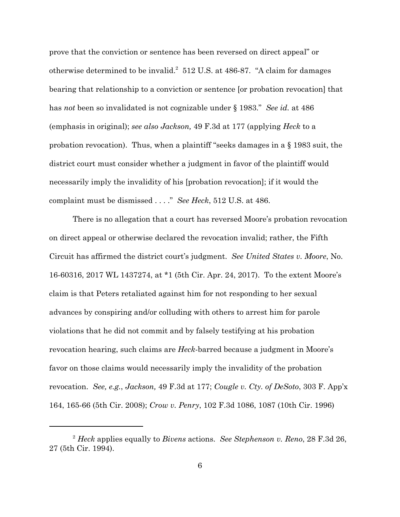prove that the conviction or sentence has been reversed on direct appeal" or otherwise determined to be invalid.<sup>2</sup> 512 U.S. at 486-87. "A claim for damages bearing that relationship to a conviction or sentence [or probation revocation] that has *not* been so invalidated is not cognizable under § 1983." *See id.* at 486 (emphasis in original); *see also Jackson,* 49 F.3d at 177 (applying *Heck* to a probation revocation). Thus, when a plaintiff "seeks damages in a § 1983 suit, the district court must consider whether a judgment in favor of the plaintiff would necessarily imply the invalidity of his [probation revocation]; if it would the complaint must be dismissed . . . ." *See Heck*, 512 U.S. at 486.

There is no allegation that a court has reversed Moore's probation revocation on direct appeal or otherwise declared the revocation invalid; rather, the Fifth Circuit has affirmed the district court's judgment. *See United States v. Moore*, No. 16-60316, 2017 WL 1437274, at \*1 (5th Cir. Apr. 24, 2017). To the extent Moore's claim is that Peters retaliated against him for not responding to her sexual advances by conspiring and/or colluding with others to arrest him for parole violations that he did not commit and by falsely testifying at his probation revocation hearing, such claims are *Heck*-barred because a judgment in Moore's favor on those claims would necessarily imply the invalidity of the probation revocation. *See, e.g.*, *Jackson,* 49 F.3d at 177; *Cougle v. Cty. of DeSoto*, 303 F. App'x 164, 165-66 (5th Cir. 2008); *Crow v. Penry*, 102 F.3d 1086, 1087 (10th Cir. 1996)

<sup>2</sup> *Heck* applies equally to *Bivens* actions. *See Stephenson v. Reno*, 28 F.3d 26, 27 (5th Cir. 1994).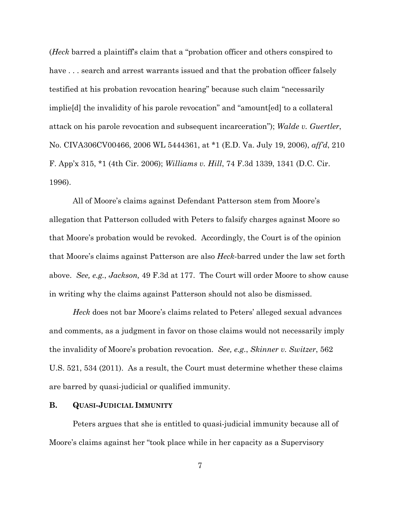(*Heck* barred a plaintiff's claim that a "probation officer and others conspired to have . . . search and arrest warrants issued and that the probation officer falsely testified at his probation revocation hearing" because such claim "necessarily implie[d] the invalidity of his parole revocation" and "amount[ed] to a collateral attack on his parole revocation and subsequent incarceration"); *Walde v. Guertler*, No. CIVA306CV00466, 2006 WL 5444361, at \*1 (E.D. Va. July 19, 2006), *aff'd*, 210 F. App'x 315, \*1 (4th Cir. 2006); *Williams v. Hill*, 74 F.3d 1339, 1341 (D.C. Cir. 1996).

All of Moore's claims against Defendant Patterson stem from Moore's allegation that Patterson colluded with Peters to falsify charges against Moore so that Moore's probation would be revoked. Accordingly, the Court is of the opinion that Moore's claims against Patterson are also *Heck*-barred under the law set forth above. *See, e.g.*, *Jackson,* 49 F.3d at 177. The Court will order Moore to show cause in writing why the claims against Patterson should not also be dismissed.

*Heck* does not bar Moore's claims related to Peters' alleged sexual advances and comments, as a judgment in favor on those claims would not necessarily imply the invalidity of Moore's probation revocation. *See, e.g.*, *Skinner v. Switzer*, 562 U.S. 521, 534 (2011). As a result, the Court must determine whether these claims are barred by quasi-judicial or qualified immunity.

### **B. QUASI-JUDICIAL IMMUNITY**

Peters argues that she is entitled to quasi-judicial immunity because all of Moore's claims against her "took place while in her capacity as a Supervisory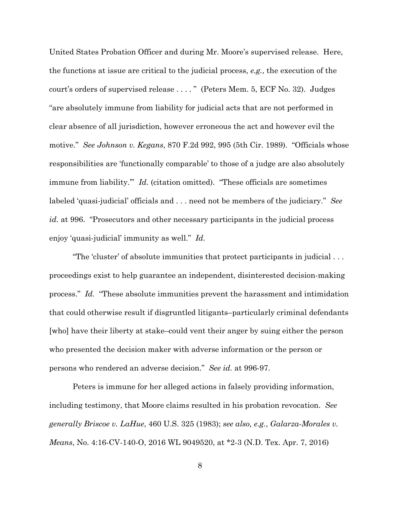United States Probation Officer and during Mr. Moore's supervised release. Here, the functions at issue are critical to the judicial process, *e.g.*, the execution of the court's orders of supervised release . . . . " (Peters Mem. 5, ECF No. 32). Judges "are absolutely immune from liability for judicial acts that are not performed in clear absence of all jurisdiction, however erroneous the act and however evil the motive." *See Johnson v. Kegans*, 870 F.2d 992, 995 (5th Cir. 1989). "Officials whose responsibilities are 'functionally comparable' to those of a judge are also absolutely immune from liability.'" *Id.* (citation omitted). "These officials are sometimes labeled 'quasi-judicial' officials and . . . need not be members of the judiciary." *See id.* at 996. "Prosecutors and other necessary participants in the judicial process enjoy 'quasi-judicial' immunity as well." *Id.* 

"The 'cluster' of absolute immunities that protect participants in judicial . . . proceedings exist to help guarantee an independent, disinterested decision-making process." *Id.* "These absolute immunities prevent the harassment and intimidation that could otherwise result if disgruntled litigants–particularly criminal defendants [who] have their liberty at stake–could vent their anger by suing either the person who presented the decision maker with adverse information or the person or persons who rendered an adverse decision." *See id.* at 996-97.

Peters is immune for her alleged actions in falsely providing information, including testimony, that Moore claims resulted in his probation revocation. *See generally Briscoe v. LaHue*, 460 U.S. 325 (1983); *see also, e.g.*, *Galarza-Morales v. Means*, No. 4:16-CV-140-O, 2016 WL 9049520, at \*2-3 (N.D. Tex. Apr. 7, 2016)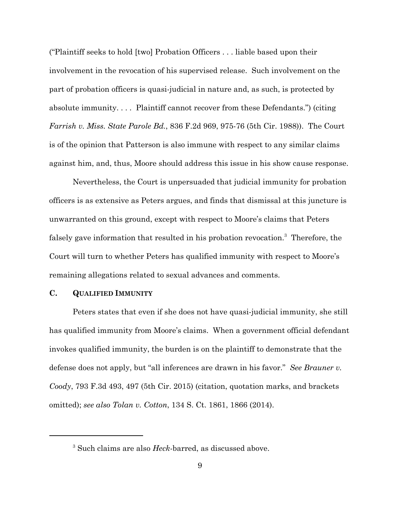("Plaintiff seeks to hold [two] Probation Officers . . . liable based upon their involvement in the revocation of his supervised release. Such involvement on the part of probation officers is quasi-judicial in nature and, as such, is protected by absolute immunity. . . . Plaintiff cannot recover from these Defendants.") (citing *Farrish v. Miss. State Parole Bd.*, 836 F.2d 969, 975-76 (5th Cir. 1988)). The Court is of the opinion that Patterson is also immune with respect to any similar claims against him, and, thus, Moore should address this issue in his show cause response.

 Nevertheless, the Court is unpersuaded that judicial immunity for probation officers is as extensive as Peters argues, and finds that dismissal at this juncture is unwarranted on this ground, except with respect to Moore's claims that Peters falsely gave information that resulted in his probation revocation.<sup>3</sup> Therefore, the Court will turn to whether Peters has qualified immunity with respect to Moore's remaining allegations related to sexual advances and comments.

## **C. QUALIFIED IMMUNITY**

Peters states that even if she does not have quasi-judicial immunity, she still has qualified immunity from Moore's claims. When a government official defendant invokes qualified immunity, the burden is on the plaintiff to demonstrate that the defense does not apply, but "all inferences are drawn in his favor." *See Brauner v. Coody*, 793 F.3d 493, 497 (5th Cir. 2015) (citation, quotation marks, and brackets omitted); *see also Tolan v. Cotton*, 134 S. Ct. 1861, 1866 (2014).

<sup>3</sup> Such claims are also *Heck*-barred, as discussed above.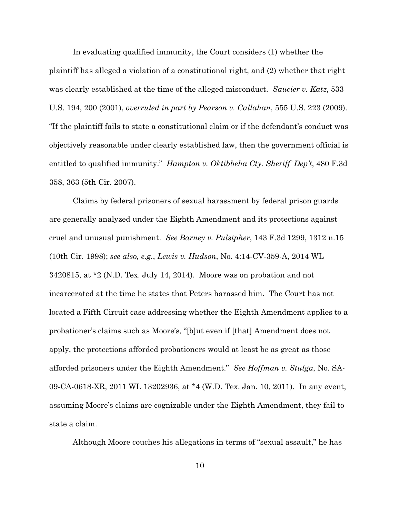In evaluating qualified immunity, the Court considers (1) whether the plaintiff has alleged a violation of a constitutional right, and (2) whether that right was clearly established at the time of the alleged misconduct. *Saucier v. Katz*, 533 U.S. 194, 200 (2001), *overruled in part by Pearson v. Callahan*, 555 U.S. 223 (2009). "If the plaintiff fails to state a constitutional claim or if the defendant's conduct was objectively reasonable under clearly established law, then the government official is entitled to qualified immunity." *Hampton v. Oktibbeha Cty. Sheriff' Dep't*, 480 F.3d 358, 363 (5th Cir. 2007).

Claims by federal prisoners of sexual harassment by federal prison guards are generally analyzed under the Eighth Amendment and its protections against cruel and unusual punishment. *See Barney v. Pulsipher*, 143 F.3d 1299, 1312 n.15 (10th Cir. 1998); *see also, e.g.*, *Lewis v. Hudson*, No. 4:14-CV-359-A, 2014 WL 3420815, at \*2 (N.D. Tex. July 14, 2014). Moore was on probation and not incarcerated at the time he states that Peters harassed him. The Court has not located a Fifth Circuit case addressing whether the Eighth Amendment applies to a probationer's claims such as Moore's, "[b]ut even if [that] Amendment does not apply, the protections afforded probationers would at least be as great as those afforded prisoners under the Eighth Amendment." *See Hoffman v. Stulga*, No. SA-09-CA-0618-XR, 2011 WL 13202936, at \*4 (W.D. Tex. Jan. 10, 2011). In any event, assuming Moore's claims are cognizable under the Eighth Amendment, they fail to state a claim.

Although Moore couches his allegations in terms of "sexual assault," he has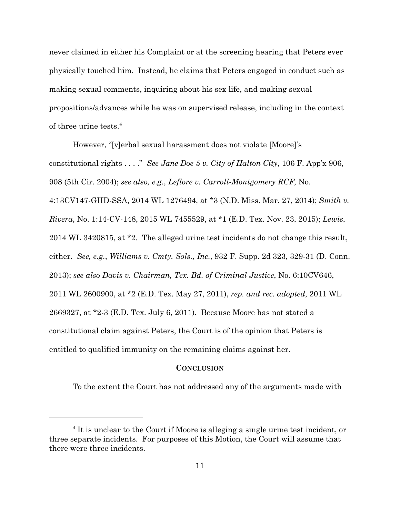never claimed in either his Complaint or at the screening hearing that Peters ever physically touched him. Instead, he claims that Peters engaged in conduct such as making sexual comments, inquiring about his sex life, and making sexual propositions/advances while he was on supervised release, including in the context of three urine tests.<sup>4</sup>

However, "[v]erbal sexual harassment does not violate [Moore]'s constitutional rights . . . ." *See Jane Doe 5 v. City of Halton City*, 106 F. App'x 906, 908 (5th Cir. 2004); *see also, e.g.*, *Leflore v. Carroll-Montgomery RCF*, No. 4:13CV147-GHD-SSA, 2014 WL 1276494, at \*3 (N.D. Miss. Mar. 27, 2014); *Smith v. Rivera*, No. 1:14-CV-148, 2015 WL 7455529, at \*1 (E.D. Tex. Nov. 23, 2015); *Lewis*, 2014 WL 3420815, at \*2. The alleged urine test incidents do not change this result, either. *See, e.g.*, *Williams v. Cmty. Sols., Inc.*, 932 F. Supp. 2d 323, 329-31 (D. Conn. 2013); *see also Davis v. Chairman, Tex. Bd. of Criminal Justice*, No. 6:10CV646, 2011 WL 2600900, at \*2 (E.D. Tex. May 27, 2011), *rep. and rec. adopted*, 2011 WL 2669327, at \*2-3 (E.D. Tex. July 6, 2011). Because Moore has not stated a constitutional claim against Peters, the Court is of the opinion that Peters is entitled to qualified immunity on the remaining claims against her.

#### **CONCLUSION**

To the extent the Court has not addressed any of the arguments made with

<sup>&</sup>lt;sup>4</sup> It is unclear to the Court if Moore is alleging a single urine test incident, or three separate incidents. For purposes of this Motion, the Court will assume that there were three incidents.